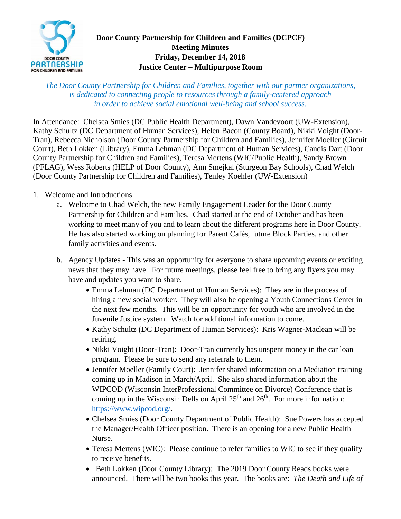

## **Door County Partnership for Children and Families (DCPCF) Meeting Minutes Friday, December 14, 2018 Justice Center – Multipurpose Room**

*The Door County Partnership for Children and Families, together with our partner organizations, is dedicated to connecting people to resources through a family-centered approach in order to achieve social emotional well-being and school success.*

In Attendance: Chelsea Smies (DC Public Health Department), Dawn Vandevoort (UW-Extension), Kathy Schultz (DC Department of Human Services), Helen Bacon (County Board), Nikki Voight (Door-Tran), Rebecca Nicholson (Door County Partnership for Children and Families), Jennifer Moeller (Circuit Court), Beth Lokken (Library), Emma Lehman (DC Department of Human Services), Candis Dart (Door County Partnership for Children and Families), Teresa Mertens (WIC/Public Health), Sandy Brown (PFLAG), Wess Roberts (HELP of Door County), Ann Smejkal (Sturgeon Bay Schools), Chad Welch (Door County Partnership for Children and Families), Tenley Koehler (UW-Extension)

- 1. Welcome and Introductions
	- a. Welcome to Chad Welch, the new Family Engagement Leader for the Door County Partnership for Children and Families. Chad started at the end of October and has been working to meet many of you and to learn about the different programs here in Door County. He has also started working on planning for Parent Cafés, future Block Parties, and other family activities and events.
	- b. Agency Updates This was an opportunity for everyone to share upcoming events or exciting news that they may have. For future meetings, please feel free to bring any flyers you may have and updates you want to share.
		- Emma Lehman (DC Department of Human Services): They are in the process of hiring a new social worker. They will also be opening a Youth Connections Center in the next few months. This will be an opportunity for youth who are involved in the Juvenile Justice system. Watch for additional information to come.
		- Kathy Schultz (DC Department of Human Services): Kris Wagner-Maclean will be retiring.
		- Nikki Voight (Door-Tran): Door-Tran currently has unspent money in the car loan program. Please be sure to send any referrals to them.
		- Jennifer Moeller (Family Court): Jennifer shared information on a Mediation training coming up in Madison in March/April. She also shared information about the WIPCOD (Wisconsin InterProfessional Committee on Divorce) Conference that is coming up in the Wisconsin Dells on April  $25<sup>th</sup>$  and  $26<sup>th</sup>$ . For more information: [https://www.wipcod.org/.](https://www.wipcod.org/)
		- Chelsea Smies (Door County Department of Public Health): Sue Powers has accepted the Manager/Health Officer position. There is an opening for a new Public Health Nurse.
		- Teresa Mertens (WIC): Please continue to refer families to WIC to see if they qualify to receive benefits.
		- Beth Lokken (Door County Library): The 2019 Door County Reads books were announced. There will be two books this year. The books are: *The Death and Life of*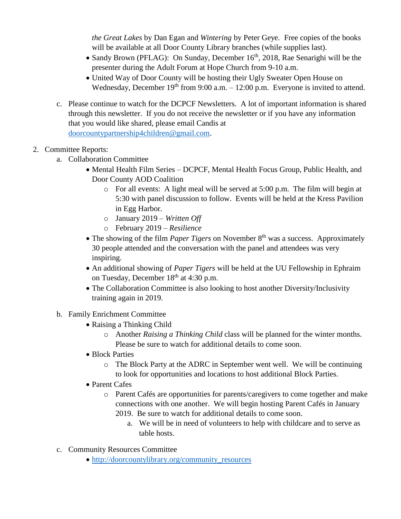*the Great Lakes* by Dan Egan and *Wintering* by Peter Geye. Free copies of the books will be available at all Door County Library branches (while supplies last).

- Sandy Brown (PFLAG): On Sunday, December  $16<sup>th</sup>$ , 2018, Rae Senarighi will be the presenter during the Adult Forum at Hope Church from 9-10 a.m.
- United Way of Door County will be hosting their Ugly Sweater Open House on Wednesday, December  $19<sup>th</sup>$  from 9:00 a.m.  $-12:00$  p.m. Everyone is invited to attend.
- c. Please continue to watch for the DCPCF Newsletters. A lot of important information is shared through this newsletter. If you do not receive the newsletter or if you have any information that you would like shared, please email Candis at [doorcountypartnership4children@gmail.com.](mailto:doorcountypartnership4children@gmail.com)

## 2. Committee Reports:

- a. Collaboration Committee
	- Mental Health Film Series DCPCF, Mental Health Focus Group, Public Health, and Door County AOD Coalition
		- o For all events: A light meal will be served at 5:00 p.m. The film will begin at 5:30 with panel discussion to follow. Events will be held at the Kress Pavilion in Egg Harbor.
		- o January 2019 *Written Off*
		- o February 2019 *Resilience*
	- The showing of the film *Paper Tigers* on November 8<sup>th</sup> was a success. Approximately 30 people attended and the conversation with the panel and attendees was very inspiring.
	- An additional showing of *Paper Tigers* will be held at the UU Fellowship in Ephraim on Tuesday, December  $18<sup>th</sup>$  at 4:30 p.m.
	- The Collaboration Committee is also looking to host another Diversity/Inclusivity training again in 2019.

## b. Family Enrichment Committee

- Raising a Thinking Child
	- o Another *Raising a Thinking Child* class will be planned for the winter months. Please be sure to watch for additional details to come soon.
- Block Parties
	- o The Block Party at the ADRC in September went well. We will be continuing to look for opportunities and locations to host additional Block Parties.
- Parent Cafes
	- o Parent Cafés are opportunities for parents/caregivers to come together and make connections with one another. We will begin hosting Parent Cafés in January 2019. Be sure to watch for additional details to come soon.
		- a. We will be in need of volunteers to help with childcare and to serve as table hosts.
- c. Community Resources Committee
	- [http://doorcountylibrary.org/community\\_resources](http://doorcountylibrary.org/community_resources)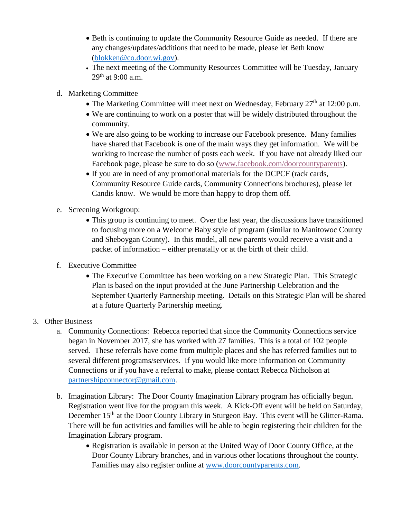- Beth is continuing to update the Community Resource Guide as needed. If there are any changes/updates/additions that need to be made, please let Beth know [\(blokken@co.door.wi.gov\)](mailto:blokken@co.door.wi.gov).
- The next meeting of the Community Resources Committee will be Tuesday, January  $29^{th}$  at 9:00 a.m.
- d. Marketing Committee
	- The Marketing Committee will meet next on Wednesday, February  $27<sup>th</sup>$  at 12:00 p.m.
	- We are continuing to work on a poster that will be widely distributed throughout the community.
	- We are also going to be working to increase our Facebook presence. Many families have shared that Facebook is one of the main ways they get information. We will be working to increase the number of posts each week. If you have not already liked our Facebook page, please be sure to do so [\(www.facebook.com/doorcountyparents\)](http://www.facebook.com/doorcountyparents).
	- If you are in need of any promotional materials for the DCPCF (rack cards, Community Resource Guide cards, Community Connections brochures), please let Candis know. We would be more than happy to drop them off.
- e. Screening Workgroup:
	- This group is continuing to meet. Over the last year, the discussions have transitioned to focusing more on a Welcome Baby style of program (similar to Manitowoc County and Sheboygan County). In this model, all new parents would receive a visit and a packet of information – either prenatally or at the birth of their child.  $\overline{a}$
- f. Executive Committee
	- The Executive Committee has been working on a new Strategic Plan. This Strategic Plan is based on the input provided at the June Partnership Celebration and the September Quarterly Partnership meeting. Details on this Strategic Plan will be shared at a future Quarterly Partnership meeting.
- 3. Other Business
	- a. Community Connections: Rebecca reported that since the Community Connections service began in November 2017, she has worked with 27 families. This is a total of 102 people served. These referrals have come from multiple places and she has referred families out to several different programs/services. If you would like more information on Community Connections or if you have a referral to make, please contact Rebecca Nicholson at [partnershipconnector@gmail.com.](mailto:partnershipconnector@gmail.com)
	- b. Imagination Library: The Door County Imagination Library program has officially begun. Registration went live for the program this week. A Kick-Off event will be held on Saturday, December 15<sup>th</sup> at the Door County Library in Sturgeon Bay. This event will be Glitter-Rama. There will be fun activities and families will be able to begin registering their children for the Imagination Library program.
		- Registration is available in person at the United Way of Door County Office, at the Door County Library branches, and in various other locations throughout the county. Families may also register online at [www.doorcountyparents.com.](http://www.doorcountyparents.com/)